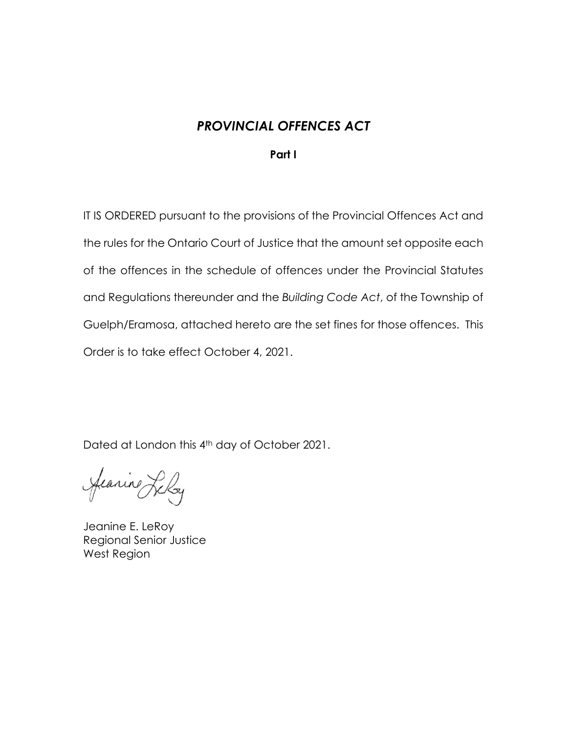## *PROVINCIAL OFFENCES ACT*

## **Part I**

IT IS ORDERED pursuant to the provisions of the Provincial Offences Act and the rules for the Ontario Court of Justice that the amount set opposite each of the offences in the schedule of offences under the Provincial Statutes and Regulations thereunder and the *Building Code Act*, of the Township of Guelph/Eramosa, attached hereto are the set fines for those offences. This Order is to take effect October 4, 2021.

Dated at London this 4th day of October 2021.

Jeanine Lely

Jeanine E. LeRoy Regional Senior Justice West Region